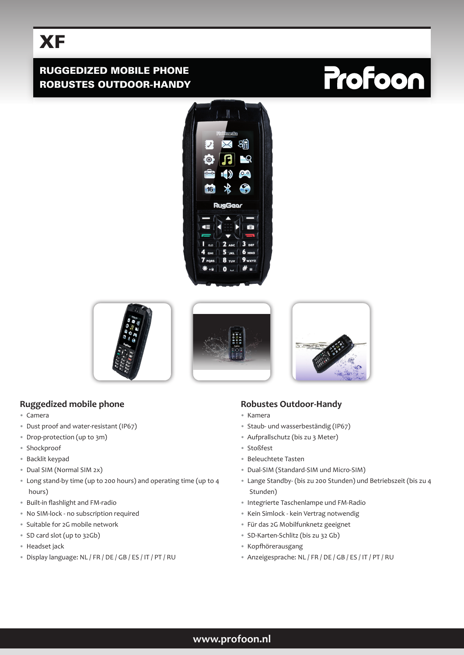# **XF**

## RUGGEDIZED MOBILE PHONE ROBUSTES OUTDOOR-HANDY

# **Profoon**









# **Ruggedized mobile phone**

- Camera
- Dust proof and water-resistant (IP67)
- Drop-protection (up to 3m)
- Shockproof
- Backlit keypad
- Dual SIM (Normal SIM 2x)
- Long stand-by time (up to 200 hours) and operating time (up to 4 hours)
- Built-in flashlight and FM-radio
- No SIM-lock no subscription required
- Suitable for 2G mobile network
- SD card slot (up to 32Gb)
- Headset jack
- Display language: NL / FR / DE / GB / ES / IT / PT / RU

### **Robustes Outdoor-Handy**

- Kamera
- Staub- und wasserbeständig (IP67)
- Aufprallschutz (bis zu 3 Meter)
- Stoßfest
- Beleuchtete Tasten
- Dual-SIM (Standard-SIM und Micro-SIM)
- Lange Standby- (bis zu 200 Stunden) und Betriebszeit (bis zu 4 Stunden)
- Integrierte Taschenlampe und FM-Radio
- Kein Simlock kein Vertrag notwendig
- Für das 2G Mobilfunknetz geeignet
- SD-Karten-Schlitz (bis zu 32 Gb)
- Kopfhörerausgang
- Anzeigesprache: NL / FR / DE / GB / ES / IT / PT / RU

### **www.profoon.nl**